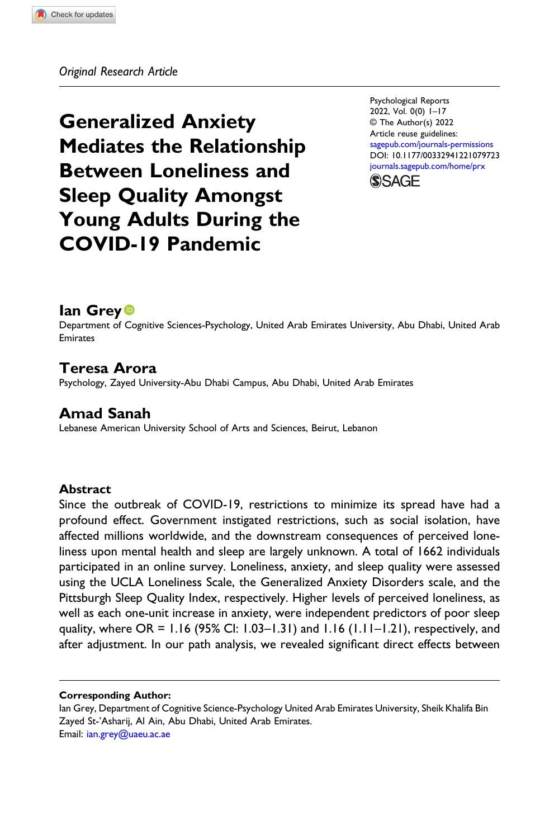Generalized Anxiety Mediates the Relationship Between Loneliness and Sleep Quality Amongst Young Adults During the COVID-19 Pandemic

Psychological Reports 2022, Vol. 0(0) 1–17 © The Author(s) 2022 Article reuse guidelines: [sagepub.com/journals-permissions](https://us.sagepub.com/en-us/journals-permissions) DOI: [10.1177/00332941221079723](https://doi.org/10.1177/00332941221079723) [journals.sagepub.com/home/prx](https://journals.sagepub.com/home/prx)



# lan Grey **D**

Department of Cognitive Sciences-Psychology, United Arab Emirates University, Abu Dhabi, United Arab Emirates

## Teresa Arora

Psychology, Zayed University-Abu Dhabi Campus, Abu Dhabi, United Arab Emirates

# Amad Sanah

Lebanese American University School of Arts and Sciences, Beirut, Lebanon

## Abstract

Since the outbreak of COVID-19, restrictions to minimize its spread have had a profound effect. Government instigated restrictions, such as social isolation, have affected millions worldwide, and the downstream consequences of perceived loneliness upon mental health and sleep are largely unknown. A total of 1662 individuals participated in an online survey. Loneliness, anxiety, and sleep quality were assessed using the UCLA Loneliness Scale, the Generalized Anxiety Disorders scale, and the Pittsburgh Sleep Quality Index, respectively. Higher levels of perceived loneliness, as well as each one-unit increase in anxiety, were independent predictors of poor sleep quality, where OR = 1.16 (95% CI: 1.03–1.31) and 1.16 (1.11–1.21), respectively, and after adjustment. In our path analysis, we revealed significant direct effects between

#### Corresponding Author:

Ian Grey, Department of Cognitive Science-Psychology United Arab Emirates University, Sheik Khalifa Bin Zayed St-'Asharij, Al Ain, Abu Dhabi, United Arab Emirates. Email: [ian.grey@uaeu.ac.ae](mailto:ian.grey@uaeu.ac.ae)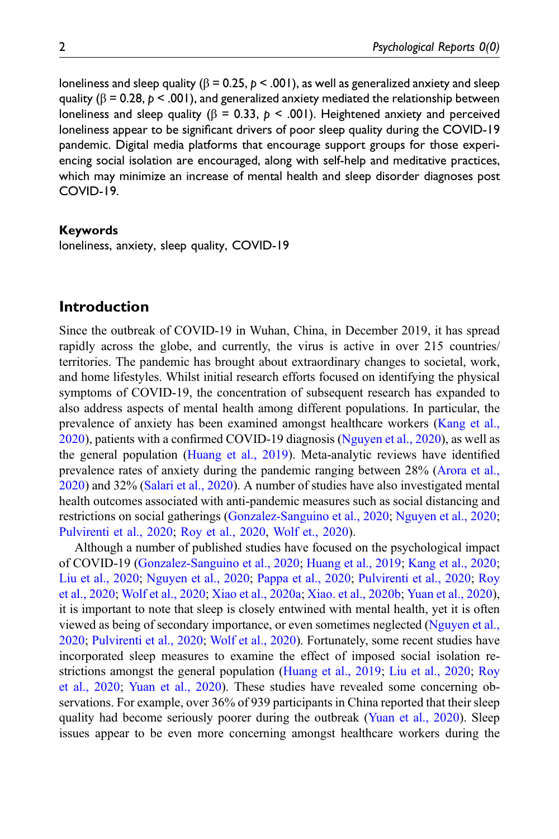loneliness and sleep quality ( $β = 0.25, p < .001$ ), as well as generalized anxiety and sleep quality ( $\beta$  = 0.28,  $p$  < .001), and generalized anxiety mediated the relationship between loneliness and sleep quality ( $β = 0.33$ ,  $p < .001$ ). Heightened anxiety and perceived loneliness appear to be significant drivers of poor sleep quality during the COVID-19 pandemic. Digital media platforms that encourage support groups for those experiencing social isolation are encouraged, along with self-help and meditative practices, which may minimize an increase of mental health and sleep disorder diagnoses post COVID-19.

### Keywords

loneliness, anxiety, sleep quality, COVID-19

## Introduction

Since the outbreak of COVID-19 in Wuhan, China, in December 2019, it has spread rapidly across the globe, and currently, the virus is active in over 215 countries/ territories. The pandemic has brought about extraordinary changes to societal, work, and home lifestyles. Whilst initial research efforts focused on identifying the physical symptoms of COVID-19, the concentration of subsequent research has expanded to also address aspects of mental health among different populations. In particular, the prevalence of anxiety has been examined amongst healthcare workers [\(Kang et al.,](#page-14-0) [2020\)](#page-14-0), patients with a confirmed COVID-19 diagnosis [\(Nguyen et al., 2020\)](#page-14-1), as well as the general population ([Huang et al., 2019\)](#page-13-0). Meta-analytic reviews have identified prevalence rates of anxiety during the pandemic ranging between 28% ([Arora et al.,](#page-12-0) [2020\)](#page-12-0) and 32% [\(Salari et al., 2020](#page-15-0)). A number of studies have also investigated mental health outcomes associated with anti-pandemic measures such as social distancing and restrictions on social gatherings [\(Gonzalez-Sanguino et al., 2020;](#page-13-1) [Nguyen et al., 2020;](#page-14-1) [Pulvirenti et al., 2020;](#page-15-1) [Roy et al., 2020](#page-15-2), [Wolf et., 2020](#page-15-3)).

Although a number of published studies have focused on the psychological impact of COVID-19 ([Gonzalez-Sanguino et al., 2020;](#page-13-1) [Huang et al., 2019](#page-13-0); [Kang et al., 2020;](#page-14-0) [Liu et al., 2020;](#page-14-2) [Nguyen et al., 2020;](#page-14-1) [Pappa et al., 2020](#page-14-3); [Pulvirenti et al., 2020;](#page-15-1) [Roy](#page-15-2) [et al., 2020](#page-15-2); [Wolf et al., 2020;](#page-15-3) [Xiao et al., 2020a;](#page-16-0) [Xiao. et al., 2020b;](#page-16-1) [Yuan et al., 2020\)](#page-16-2), it is important to note that sleep is closely entwined with mental health, yet it is often viewed as being of secondary importance, or even sometimes neglected [\(Nguyen et al.,](#page-14-1) [2020;](#page-14-1) [Pulvirenti et al., 2020;](#page-15-1) [Wolf et al., 2020\)](#page-15-3). Fortunately, some recent studies have incorporated sleep measures to examine the effect of imposed social isolation restrictions amongst the general population ([Huang et al., 2019;](#page-13-0) [Liu et al., 2020;](#page-14-2) [Roy](#page-15-2) [et al., 2020;](#page-15-2) [Yuan et al., 2020](#page-16-2)). These studies have revealed some concerning observations. For example, over 36% of 939 participants in China reported that their sleep quality had become seriously poorer during the outbreak ([Yuan et al., 2020](#page-16-2)). Sleep issues appear to be even more concerning amongst healthcare workers during the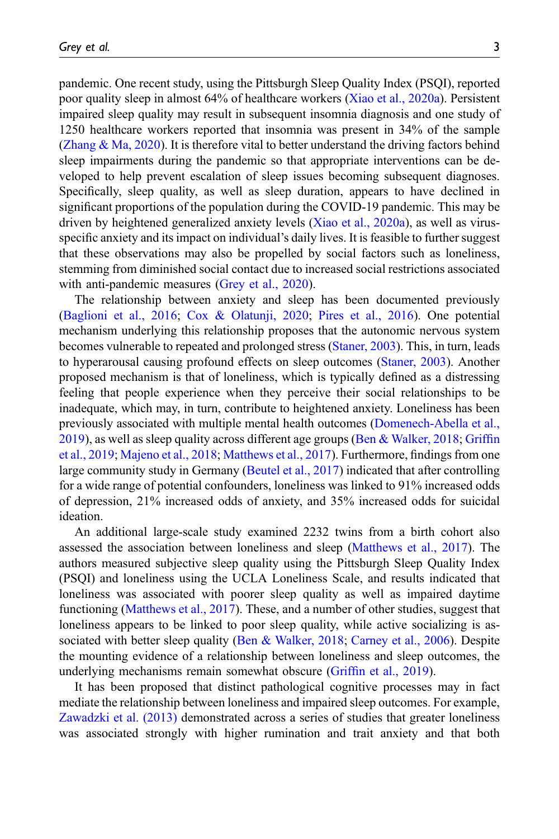pandemic. One recent study, using the Pittsburgh Sleep Quality Index (PSQI), reported poor quality sleep in almost 64% of healthcare workers ([Xiao et al., 2020a\)](#page-16-0). Persistent impaired sleep quality may result in subsequent insomnia diagnosis and one study of 1250 healthcare workers reported that insomnia was present in 34% of the sample (Zhang  $\&$  Ma, 2020). It is therefore vital to better understand the driving factors behind sleep impairments during the pandemic so that appropriate interventions can be developed to help prevent escalation of sleep issues becoming subsequent diagnoses. Specifically, sleep quality, as well as sleep duration, appears to have declined in significant proportions of the population during the COVID-19 pandemic. This may be driven by heightened generalized anxiety levels ([Xiao et al., 2020a](#page-16-0)), as well as virusspecific anxiety and its impact on individual's daily lives. It is feasible to further suggest that these observations may also be propelled by social factors such as loneliness, stemming from diminished social contact due to increased social restrictions associated with anti-pandemic measures ([Grey et al., 2020](#page-13-2)).

The relationship between anxiety and sleep has been documented previously ([Baglioni et al., 2016;](#page-12-1) [Cox & Olatunji, 2020;](#page-13-3) [Pires et al., 2016\)](#page-14-4). One potential mechanism underlying this relationship proposes that the autonomic nervous system becomes vulnerable to repeated and prolonged stress ([Staner, 2003](#page-15-4)). This, in turn, leads to hyperarousal causing profound effects on sleep outcomes [\(Staner, 2003\)](#page-15-4). Another proposed mechanism is that of loneliness, which is typically defined as a distressing feeling that people experience when they perceive their social relationships to be inadequate, which may, in turn, contribute to heightened anxiety. Loneliness has been previously associated with multiple mental health outcomes [\(Domenech-Abella et al.,](#page-13-4) [2019\)](#page-13-4), as well as sleep quality across different age groups ([Ben & Walker, 2018;](#page-12-2) [Grif](#page-13-5)fin [et al., 2019](#page-13-5); [Majeno et al., 2018;](#page-14-5) [Matthews et al., 2017\)](#page-14-6). Furthermore, findings from one large community study in Germany ([Beutel et al., 2017](#page-12-3)) indicated that after controlling for a wide range of potential confounders, loneliness was linked to 91% increased odds of depression, 21% increased odds of anxiety, and 35% increased odds for suicidal ideation.

An additional large-scale study examined 2232 twins from a birth cohort also assessed the association between loneliness and sleep ([Matthews et al., 2017](#page-14-6)). The authors measured subjective sleep quality using the Pittsburgh Sleep Quality Index (PSQI) and loneliness using the UCLA Loneliness Scale, and results indicated that loneliness was associated with poorer sleep quality as well as impaired daytime functioning ([Matthews et al., 2017\)](#page-14-6). These, and a number of other studies, suggest that loneliness appears to be linked to poor sleep quality, while active socializing is associated with better sleep quality [\(Ben & Walker, 2018;](#page-12-2) [Carney et al., 2006\)](#page-12-4). Despite the mounting evidence of a relationship between loneliness and sleep outcomes, the underlying mechanisms remain somewhat obscure (Griffi[n et al., 2019](#page-13-5)).

It has been proposed that distinct pathological cognitive processes may in fact mediate the relationship between loneliness and impaired sleep outcomes. For example, [Zawadzki et al. \(2013\)](#page-16-4) demonstrated across a series of studies that greater loneliness was associated strongly with higher rumination and trait anxiety and that both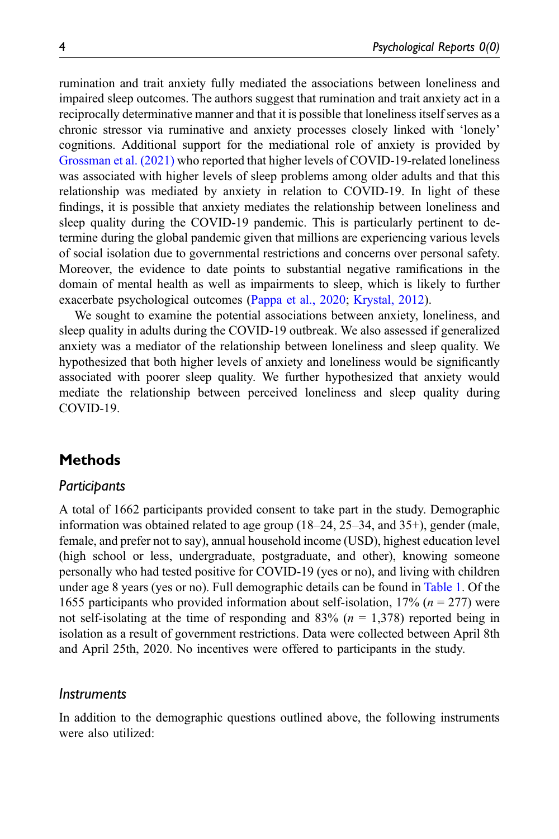rumination and trait anxiety fully mediated the associations between loneliness and impaired sleep outcomes. The authors suggest that rumination and trait anxiety act in a reciprocally determinative manner and that it is possible that loneliness itself serves as a chronic stressor via ruminative and anxiety processes closely linked with 'lonely' cognitions. Additional support for the mediational role of anxiety is provided by [Grossman et al. \(2021\)](#page-13-6) who reported that higher levels of COVID-19-related loneliness was associated with higher levels of sleep problems among older adults and that this relationship was mediated by anxiety in relation to COVID-19. In light of these findings, it is possible that anxiety mediates the relationship between loneliness and sleep quality during the COVID-19 pandemic. This is particularly pertinent to determine during the global pandemic given that millions are experiencing various levels of social isolation due to governmental restrictions and concerns over personal safety. Moreover, the evidence to date points to substantial negative ramifications in the domain of mental health as well as impairments to sleep, which is likely to further exacerbate psychological outcomes ([Pappa et al., 2020](#page-14-3); [Krystal, 2012\)](#page-14-7).

We sought to examine the potential associations between anxiety, loneliness, and sleep quality in adults during the COVID-19 outbreak. We also assessed if generalized anxiety was a mediator of the relationship between loneliness and sleep quality. We hypothesized that both higher levels of anxiety and loneliness would be significantly associated with poorer sleep quality. We further hypothesized that anxiety would mediate the relationship between perceived loneliness and sleep quality during COVID-19.

# **Methods**

## Participants

A total of 1662 participants provided consent to take part in the study. Demographic information was obtained related to age group (18–24, 25–34, and 35+), gender (male, female, and prefer not to say), annual household income (USD), highest education level (high school or less, undergraduate, postgraduate, and other), knowing someone personally who had tested positive for COVID-19 (yes or no), and living with children under age 8 years (yes or no). Full demographic details can be found in [Table 1.](#page-4-0) Of the 1655 participants who provided information about self-isolation, 17% ( $n = 277$ ) were not self-isolating at the time of responding and  $83\%$  ( $n = 1,378$ ) reported being in isolation as a result of government restrictions. Data were collected between April 8th and April 25th, 2020. No incentives were offered to participants in the study.

### Instruments

In addition to the demographic questions outlined above, the following instruments were also utilized: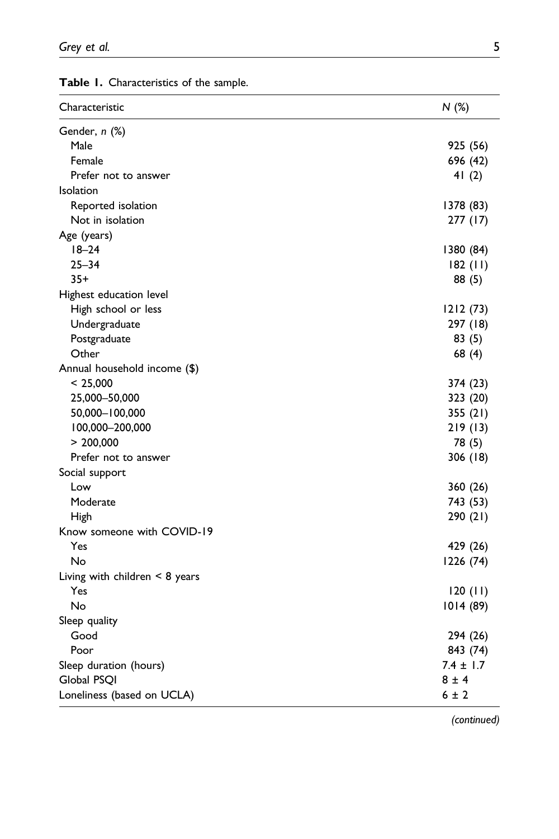| Characteristic                   | N(%)          |
|----------------------------------|---------------|
| Gender, n (%)                    |               |
| Male                             | 925 (56)      |
| Female                           | 696 (42)      |
| Prefer not to answer             | 41 $(2)$      |
| Isolation                        |               |
| Reported isolation               | 1378 (83)     |
| Not in isolation                 | 277 (17)      |
| Age (years)                      |               |
| $18 - 24$                        | 1380 (84)     |
| $25 - 34$                        | 182(11)       |
| $35+$                            | 88 (5)        |
| Highest education level          |               |
| High school or less              | 1212(73)      |
| Undergraduate                    | 297 (18)      |
| Postgraduate                     | 83(5)         |
| Other                            | 68 (4)        |
| Annual household income (\$)     |               |
| < 25,000                         | 374 (23)      |
| 25,000-50,000                    | 323 (20)      |
| 50,000-100,000                   | 355 (21)      |
| 100,000-200,000                  | 219(13)       |
| > 200,000                        | 78 (5)        |
| Prefer not to answer             | 306 (18)      |
| Social support                   |               |
| Low                              | 360 (26)      |
| Moderate                         | 743 (53)      |
| <b>High</b>                      | 290 (21)      |
| Know someone with COVID-19       |               |
| Yes                              | 429 (26)      |
| No                               | 1226 (74)     |
| Living with children $<$ 8 years |               |
| Yes                              | 120(11)       |
| No                               | 1014(89)      |
| Sleep quality                    |               |
| Good                             | 294 (26)      |
| Poor                             | 843 (74)      |
| Sleep duration (hours)           | $7.4 \pm 1.7$ |
| Global PSOI                      | $8 \pm 4$     |
| Loneliness (based on UCLA)       | 6 ± 2         |

<span id="page-4-0"></span>Table 1. Characteristics of the sample.

(continued)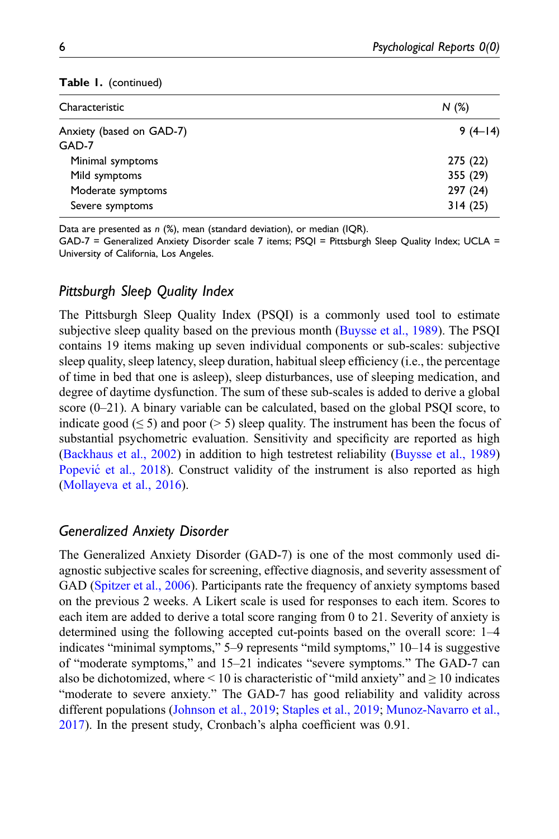| Table I. (continued) |  |  |  |
|----------------------|--|--|--|
|----------------------|--|--|--|

| Characteristic           | N(%)      |
|--------------------------|-----------|
| Anxiety (based on GAD-7) | $9(4-14)$ |
| GAD-7                    |           |
| Minimal symptoms         | 275 (22)  |
| Mild symptoms            | 355 (29)  |
| Moderate symptoms        | 297 (24)  |
| Severe symptoms          | 314(25)   |
|                          |           |

Data are presented as n (%), mean (standard deviation), or median (IQR).

GAD-7 = Generalized Anxiety Disorder scale 7 items; PSQI = Pittsburgh Sleep Quality Index; UCLA = University of California, Los Angeles.

## Pittsburgh Sleep Quality Index

The Pittsburgh Sleep Quality Index (PSQI) is a commonly used tool to estimate subjective sleep quality based on the previous month [\(Buysse et al., 1989](#page-12-5)). The PSQI contains 19 items making up seven individual components or sub-scales: subjective sleep quality, sleep latency, sleep duration, habitual sleep efficiency (i.e., the percentage of time in bed that one is asleep), sleep disturbances, use of sleeping medication, and degree of daytime dysfunction. The sum of these sub-scales is added to derive a global score  $(0-21)$ . A binary variable can be calculated, based on the global PSQI score, to indicate good ( $\leq 5$ ) and poor ( $> 5$ ) sleep quality. The instrument has been the focus of substantial psychometric evaluation. Sensitivity and specificity are reported as high ([Backhaus et al., 2002\)](#page-12-6) in addition to high testretest reliability [\(Buysse et al., 1989](#page-12-5)) [Popevi](#page-15-5)ć [et al., 2018](#page-15-5)). Construct validity of the instrument is also reported as high ([Mollayeva et al., 2016](#page-14-8)).

## Generalized Anxiety Disorder

The Generalized Anxiety Disorder (GAD-7) is one of the most commonly used diagnostic subjective scales for screening, effective diagnosis, and severity assessment of GAD ([Spitzer et al., 2006](#page-15-6)). Participants rate the frequency of anxiety symptoms based on the previous 2 weeks. A Likert scale is used for responses to each item. Scores to each item are added to derive a total score ranging from 0 to 21. Severity of anxiety is determined using the following accepted cut-points based on the overall score: 1–4 indicates "minimal symptoms," 5–9 represents "mild symptoms," 10–14 is suggestive of "moderate symptoms," and 15–21 indicates "severe symptoms." The GAD-7 can also be dichotomized, where  $\leq 10$  is characteristic of "mild anxiety" and  $\geq 10$  indicates "moderate to severe anxiety." The GAD-7 has good reliability and validity across different populations ([Johnson et al., 2019](#page-13-7); [Staples et al., 2019](#page-15-7); [Munoz-Navarro et al.,](#page-14-9) [2017\)](#page-14-9). In the present study, Cronbach's alpha coefficient was 0.91.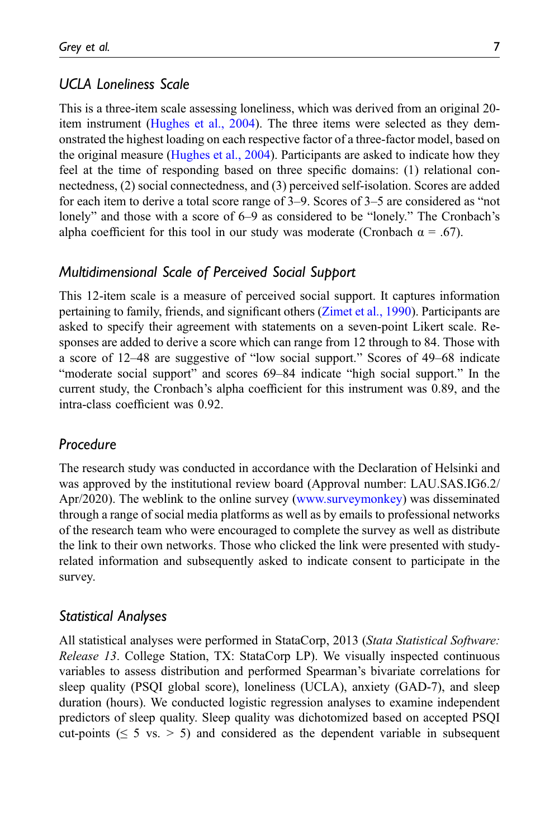# UCLA Loneliness Scale

This is a three-item scale assessing loneliness, which was derived from an original 20 item instrument [\(Hughes et al., 2004](#page-15-8)). The three items were selected as they demonstrated the highest loading on each respective factor of a three-factor model, based on the original measure ([Hughes et al., 2004\)](#page-15-8). Participants are asked to indicate how they feel at the time of responding based on three specific domains: (1) relational connectedness, (2) social connectedness, and (3) perceived self-isolation. Scores are added for each item to derive a total score range of 3–9. Scores of 3–5 are considered as "not lonely" and those with a score of 6–9 as considered to be "lonely." The Cronbach's alpha coefficient for this tool in our study was moderate (Cronbach  $\alpha = .67$ ).

# Multidimensional Scale of Perceived Social Support

This 12-item scale is a measure of perceived social support. It captures information pertaining to family, friends, and significant others ([Zimet et al., 1990\)](#page-16-5). Participants are asked to specify their agreement with statements on a seven-point Likert scale. Responses are added to derive a score which can range from 12 through to 84. Those with a score of 12–48 are suggestive of "low social support." Scores of 49–68 indicate "moderate social support" and scores 69–84 indicate "high social support." In the current study, the Cronbach's alpha coefficient for this instrument was 0.89, and the intra-class coefficient was 0.92.

## Procedure

The research study was conducted in accordance with the Declaration of Helsinki and was approved by the institutional review board (Approval number: LAU.SAS.IG6.2/ Apr/2020). The weblink to the online survey [\(www.surveymonkey\)](http://www.surveymonkey/) was disseminated through a range of social media platforms as well as by emails to professional networks of the research team who were encouraged to complete the survey as well as distribute the link to their own networks. Those who clicked the link were presented with studyrelated information and subsequently asked to indicate consent to participate in the survey.

## Statistical Analyses

All statistical analyses were performed in StataCorp, 2013 (Stata Statistical Software: Release 13. College Station, TX: StataCorp LP). We visually inspected continuous variables to assess distribution and performed Spearman's bivariate correlations for sleep quality (PSQI global score), loneliness (UCLA), anxiety (GAD-7), and sleep duration (hours). We conducted logistic regression analyses to examine independent predictors of sleep quality. Sleep quality was dichotomized based on accepted PSQI cut-points ( $\leq 5$  vs.  $> 5$ ) and considered as the dependent variable in subsequent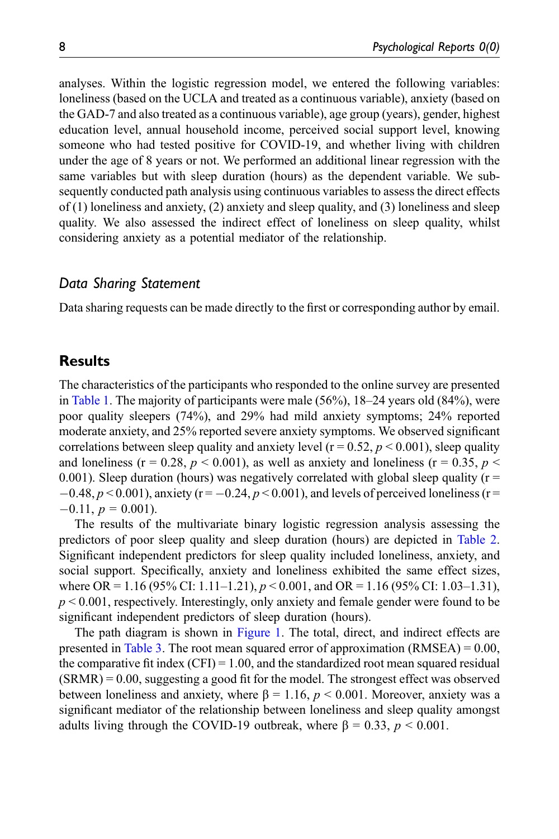analyses. Within the logistic regression model, we entered the following variables: loneliness (based on the UCLA and treated as a continuous variable), anxiety (based on the GAD-7 and also treated as a continuous variable), age group (years), gender, highest education level, annual household income, perceived social support level, knowing someone who had tested positive for COVID-19, and whether living with children under the age of 8 years or not. We performed an additional linear regression with the same variables but with sleep duration (hours) as the dependent variable. We subsequently conducted path analysis using continuous variables to assess the direct effects of (1) loneliness and anxiety, (2) anxiety and sleep quality, and (3) loneliness and sleep quality. We also assessed the indirect effect of loneliness on sleep quality, whilst considering anxiety as a potential mediator of the relationship.

### Data Sharing Statement

Data sharing requests can be made directly to the first or corresponding author by email.

## **Results**

The characteristics of the participants who responded to the online survey are presented in [Table 1.](#page-4-0) The majority of participants were male (56%), 18–24 years old (84%), were poor quality sleepers (74%), and 29% had mild anxiety symptoms; 24% reported moderate anxiety, and 25% reported severe anxiety symptoms. We observed significant correlations between sleep quality and anxiety level ( $r = 0.52$ ,  $p < 0.001$ ), sleep quality and loneliness (r = 0.28,  $p < 0.001$ ), as well as anxiety and loneliness (r = 0.35,  $p <$ 0.001). Sleep duration (hours) was negatively correlated with global sleep quality ( $r =$  $-0.48, p < 0.001$ ), anxiety (r =  $-0.24, p < 0.001$ ), and levels of perceived loneliness (r =  $-0.11, p = 0.001$ .

The results of the multivariate binary logistic regression analysis assessing the predictors of poor sleep quality and sleep duration (hours) are depicted in [Table 2.](#page-8-0) Significant independent predictors for sleep quality included loneliness, anxiety, and social support. Specifically, anxiety and loneliness exhibited the same effect sizes, where OR = 1.16 (95% CI: 1.11–1.21),  $p < 0.001$ , and OR = 1.16 (95% CI: 1.03–1.31),  $p < 0.001$ , respectively. Interestingly, only anxiety and female gender were found to be significant independent predictors of sleep duration (hours).

The path diagram is shown in [Figure 1](#page-8-1). The total, direct, and indirect effects are presented in [Table 3](#page-9-0). The root mean squared error of approximation  $(RMSEA) = 0.00$ , the comparative fit index  $(CFI) = 1.00$ , and the standardized root mean squared residual (SRMR) = 0.00, suggesting a good fit for the model. The strongest effect was observed between loneliness and anxiety, where  $\beta = 1.16$ ,  $p < 0.001$ . Moreover, anxiety was a significant mediator of the relationship between loneliness and sleep quality amongst adults living through the COVID-19 outbreak, where  $\beta = 0.33$ ,  $p < 0.001$ .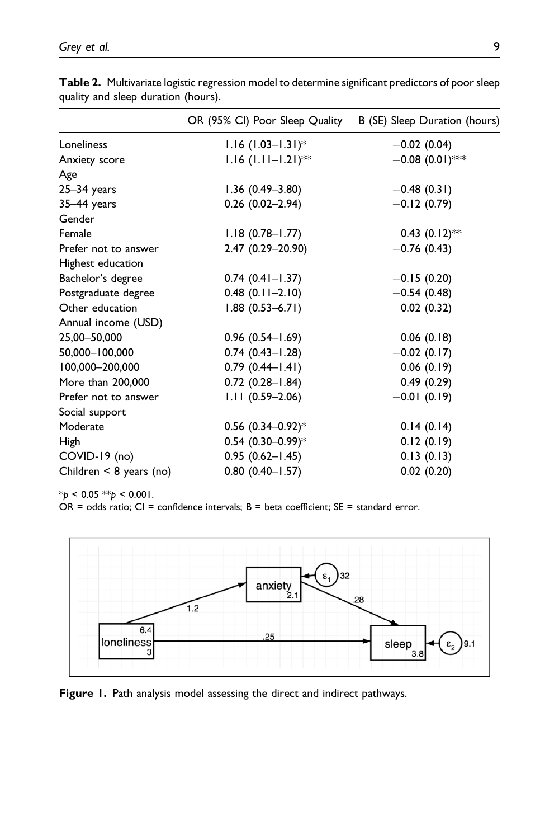|                              | OR (95% CI) Poor Sleep Quality   | B (SE) Sleep Duration (hours) |
|------------------------------|----------------------------------|-------------------------------|
| Loneliness                   | $1.16$ (1.03-1.31) <sup>*</sup>  | $-0.02$ (0.04)                |
| Anxiety score                | $1.16$ (1.11-1.21) <sup>**</sup> | $-0.08$ (0.01)***             |
| Age                          |                                  |                               |
| $25 - 34$ years              | $1.36(0.49 - 3.80)$              | $-0.48(0.31)$                 |
| $35-44$ years                | $0.26$ (0.02-2.94)               | $-0.12(0.79)$                 |
| Gender                       |                                  |                               |
| Female                       | $1.18(0.78 - 1.77)$              | $0.43$ $(0.12)$ **            |
| Prefer not to answer         | 2.47 (0.29-20.90)                | $-0.76(0.43)$                 |
| Highest education            |                                  |                               |
| Bachelor's degree            | $0.74(0.41 - 1.37)$              | $-0.15(0.20)$                 |
| Postgraduate degree          | $0.48$ $(0.11 - 2.10)$           | $-0.54(0.48)$                 |
| Other education              | $1.88(0.53 - 6.71)$              | 0.02(0.32)                    |
| Annual income (USD)          |                                  |                               |
| 25,00-50,000                 | $0.96(0.54 - 1.69)$              | 0.06(0.18)                    |
| 50,000-100,000               | $0.74$ (0.43-1.28)               | $-0.02$ (0.17)                |
| 100,000-200,000              | $0.79$ $(0.44 - 1.41)$           | 0.06(0.19)                    |
| More than 200,000            | $0.72$ $(0.28 - 1.84)$           | 0.49(0.29)                    |
| Prefer not to answer         | $1.11(0.59 - 2.06)$              | $-0.01(0.19)$                 |
| Social support               |                                  |                               |
| Moderate                     | $0.56$ (0.34-0.92)*              | 0.14(0.14)                    |
| High                         | $0.54$ (0.30-0.99)*              | 0.12(0.19)                    |
| COVID-19 (no)                | $0.95(0.62 - 1.45)$              | 0.13(0.13)                    |
| Children $\leq 8$ years (no) | $0.80$ $(0.40 - 1.57)$           | 0.02(0.20)                    |

Table 2. Multivariate logistic regression model to determine significant predictors of poor sleep quality and sleep duration (hours).

 $*_{p}$  < 0.05  $*_{p}$  < 0.001.

<span id="page-8-0"></span>OR = odds ratio; CI = confidence intervals; B = beta coefficient; SE = standard error.



<span id="page-8-1"></span>Figure 1. Path analysis model assessing the direct and indirect pathways.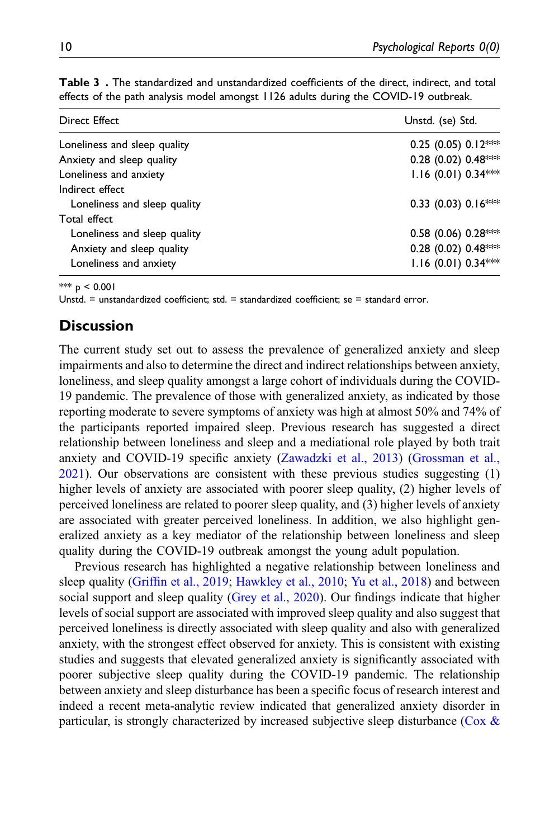| <b>Direct Effect</b>         | Unstd. (se) Std.        |
|------------------------------|-------------------------|
| Loneliness and sleep quality | 0.25 (0.05) $0.12***$   |
| Anxiety and sleep quality    | 0.28 (0.02) 0.48***     |
| Loneliness and anxiety       | $1.16(0.01) 0.34***$    |
| Indirect effect              |                         |
| Loneliness and sleep quality | 0.33 (0.03) $0.16***$   |
| Total effect                 |                         |
| Loneliness and sleep quality | $0.58$ (0.06) $0.28***$ |
| Anxiety and sleep quality    | 0.28 (0.02) 0.48***     |
| Loneliness and anxiety       | $1.16$ (0.01) 0.34***   |

Table 3. The standardized and unstandardized coefficients of the direct, indirect, and total effects of the path analysis model amongst 1126 adults during the COVID-19 outbreak.

\*\*\*  $p < 0.001$ 

<span id="page-9-0"></span>Unstd. = unstandardized coefficient; std. = standardized coefficient; se = standard error.

# **Discussion**

The current study set out to assess the prevalence of generalized anxiety and sleep impairments and also to determine the direct and indirect relationships between anxiety, loneliness, and sleep quality amongst a large cohort of individuals during the COVID-19 pandemic. The prevalence of those with generalized anxiety, as indicated by those reporting moderate to severe symptoms of anxiety was high at almost 50% and 74% of the participants reported impaired sleep. Previous research has suggested a direct relationship between loneliness and sleep and a mediational role played by both trait anxiety and COVID-19 specific anxiety [\(Zawadzki et al., 2013](#page-16-4)) ([Grossman et al.,](#page-13-6) [2021\)](#page-13-6). Our observations are consistent with these previous studies suggesting (1) higher levels of anxiety are associated with poorer sleep quality, (2) higher levels of perceived loneliness are related to poorer sleep quality, and (3) higher levels of anxiety are associated with greater perceived loneliness. In addition, we also highlight generalized anxiety as a key mediator of the relationship between loneliness and sleep quality during the COVID-19 outbreak amongst the young adult population.

Previous research has highlighted a negative relationship between loneliness and sleep quality (Griffi[n et al., 2019;](#page-13-5) [Hawkley et al., 2010;](#page-13-8) [Yu et al., 2018](#page-16-6)) and between social support and sleep quality ([Grey et al., 2020\)](#page-13-2). Our findings indicate that higher levels of social support are associated with improved sleep quality and also suggest that perceived loneliness is directly associated with sleep quality and also with generalized anxiety, with the strongest effect observed for anxiety. This is consistent with existing studies and suggests that elevated generalized anxiety is significantly associated with poorer subjective sleep quality during the COVID-19 pandemic. The relationship between anxiety and sleep disturbance has been a specific focus of research interest and indeed a recent meta-analytic review indicated that generalized anxiety disorder in particular, is strongly characterized by increased subjective sleep disturbance [\(Cox &](#page-13-3)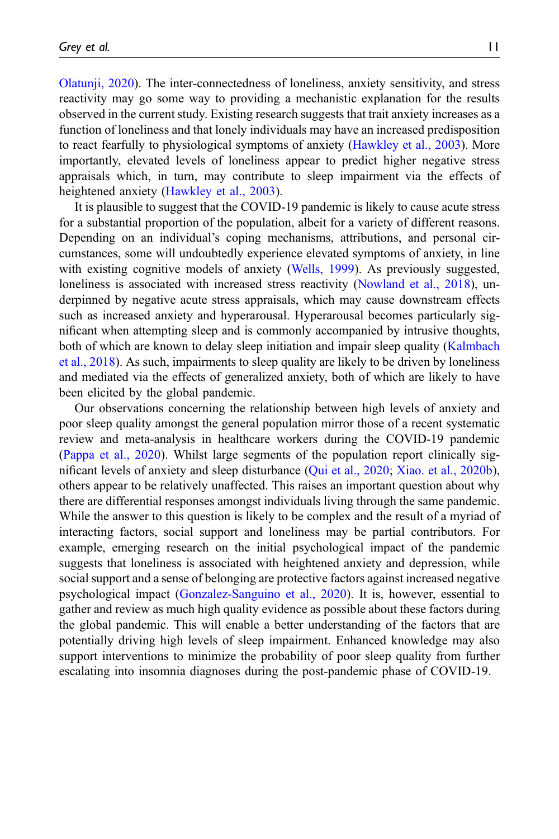[Olatunji, 2020\)](#page-13-3). The inter-connectedness of loneliness, anxiety sensitivity, and stress reactivity may go some way to providing a mechanistic explanation for the results observed in the current study. Existing research suggests that trait anxiety increases as a function of loneliness and that lonely individuals may have an increased predisposition to react fearfully to physiological symptoms of anxiety [\(Hawkley et al., 2003](#page-13-9)). More importantly, elevated levels of loneliness appear to predict higher negative stress appraisals which, in turn, may contribute to sleep impairment via the effects of heightened anxiety [\(Hawkley et al., 2003\)](#page-13-9).

It is plausible to suggest that the COVID-19 pandemic is likely to cause acute stress for a substantial proportion of the population, albeit for a variety of different reasons. Depending on an individual's coping mechanisms, attributions, and personal circumstances, some will undoubtedly experience elevated symptoms of anxiety, in line with existing cognitive models of anxiety [\(Wells, 1999\)](#page-15-9). As previously suggested, loneliness is associated with increased stress reactivity [\(Nowland et al., 2018\)](#page-14-10), underpinned by negative acute stress appraisals, which may cause downstream effects such as increased anxiety and hyperarousal. Hyperarousal becomes particularly significant when attempting sleep and is commonly accompanied by intrusive thoughts, both of which are known to delay sleep initiation and impair sleep quality ([Kalmbach](#page-13-10) [et al., 2018](#page-13-10)). As such, impairments to sleep quality are likely to be driven by loneliness and mediated via the effects of generalized anxiety, both of which are likely to have been elicited by the global pandemic.

Our observations concerning the relationship between high levels of anxiety and poor sleep quality amongst the general population mirror those of a recent systematic review and meta-analysis in healthcare workers during the COVID-19 pandemic ([Pappa et al., 2020](#page-14-3)). Whilst large segments of the population report clinically significant levels of anxiety and sleep disturbance ([Qui et al., 2020;](#page-15-10) [Xiao. et al., 2020b\)](#page-16-1), others appear to be relatively unaffected. This raises an important question about why there are differential responses amongst individuals living through the same pandemic. While the answer to this question is likely to be complex and the result of a myriad of interacting factors, social support and loneliness may be partial contributors. For example, emerging research on the initial psychological impact of the pandemic suggests that loneliness is associated with heightened anxiety and depression, while social support and a sense of belonging are protective factors against increased negative psychological impact ([Gonzalez-Sanguino et al., 2020\)](#page-13-1). It is, however, essential to gather and review as much high quality evidence as possible about these factors during the global pandemic. This will enable a better understanding of the factors that are potentially driving high levels of sleep impairment. Enhanced knowledge may also support interventions to minimize the probability of poor sleep quality from further escalating into insomnia diagnoses during the post-pandemic phase of COVID-19.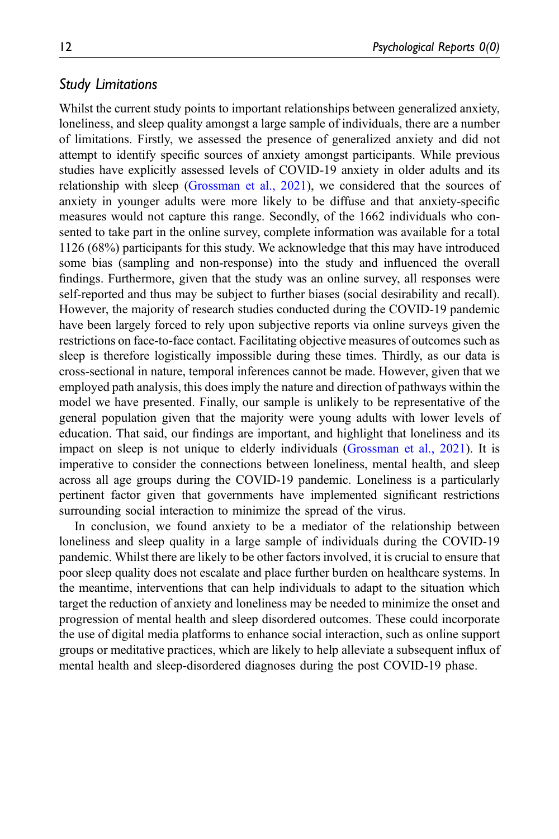### Study Limitations

Whilst the current study points to important relationships between generalized anxiety, loneliness, and sleep quality amongst a large sample of individuals, there are a number of limitations. Firstly, we assessed the presence of generalized anxiety and did not attempt to identify specific sources of anxiety amongst participants. While previous studies have explicitly assessed levels of COVID-19 anxiety in older adults and its relationship with sleep ([Grossman et al., 2021](#page-13-6)), we considered that the sources of anxiety in younger adults were more likely to be diffuse and that anxiety-specific measures would not capture this range. Secondly, of the 1662 individuals who consented to take part in the online survey, complete information was available for a total 1126 (68%) participants for this study. We acknowledge that this may have introduced some bias (sampling and non-response) into the study and influenced the overall findings. Furthermore, given that the study was an online survey, all responses were self-reported and thus may be subject to further biases (social desirability and recall). However, the majority of research studies conducted during the COVID-19 pandemic have been largely forced to rely upon subjective reports via online surveys given the restrictions on face-to-face contact. Facilitating objective measures of outcomes such as sleep is therefore logistically impossible during these times. Thirdly, as our data is cross-sectional in nature, temporal inferences cannot be made. However, given that we employed path analysis, this does imply the nature and direction of pathways within the model we have presented. Finally, our sample is unlikely to be representative of the general population given that the majority were young adults with lower levels of education. That said, our findings are important, and highlight that loneliness and its impact on sleep is not unique to elderly individuals [\(Grossman et al., 2021\)](#page-13-6). It is imperative to consider the connections between loneliness, mental health, and sleep across all age groups during the COVID-19 pandemic. Loneliness is a particularly pertinent factor given that governments have implemented significant restrictions surrounding social interaction to minimize the spread of the virus.

In conclusion, we found anxiety to be a mediator of the relationship between loneliness and sleep quality in a large sample of individuals during the COVID-19 pandemic. Whilst there are likely to be other factors involved, it is crucial to ensure that poor sleep quality does not escalate and place further burden on healthcare systems. In the meantime, interventions that can help individuals to adapt to the situation which target the reduction of anxiety and loneliness may be needed to minimize the onset and progression of mental health and sleep disordered outcomes. These could incorporate the use of digital media platforms to enhance social interaction, such as online support groups or meditative practices, which are likely to help alleviate a subsequent influx of mental health and sleep-disordered diagnoses during the post COVID-19 phase.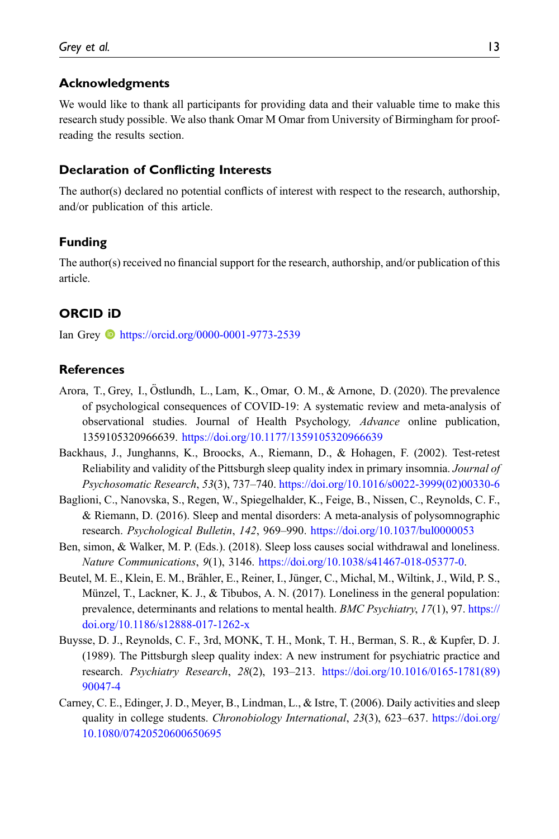#### Acknowledgments

We would like to thank all participants for providing data and their valuable time to make this research study possible. We also thank Omar M Omar from University of Birmingham for proofreading the results section.

#### Declaration of Conflicting Interests

The author(s) declared no potential conflicts of interest with respect to the research, authorship, and/or publication of this article.

#### Funding

The author(s) received no financial support for the research, authorship, and/or publication of this article.

### ORCID iD

Ian Grey <https://orcid.org/0000-0001-9773-2539>

### <span id="page-12-0"></span>**References**

- Arora, T., Grey, I., Östlundh, L., Lam, K., Omar, O. M., & Arnone, D. (2020). The prevalence of psychological consequences of COVID-19: A systematic review and meta-analysis of observational studies. Journal of Health Psychology, Advance online publication, 1359105320966639. <https://doi.org/10.1177/1359105320966639>
- <span id="page-12-6"></span><span id="page-12-1"></span>Backhaus, J., Junghanns, K., Broocks, A., Riemann, D., & Hohagen, F. (2002). Test-retest Reliability and validity of the Pittsburgh sleep quality index in primary insomnia. Journal of Psychosomatic Research, 53(3), 737–740. [https://doi.org/10.1016/s0022-3999\(02\)00330-6](https://doi.org/10.1016/s0022-3999(02)00330-6)
- <span id="page-12-2"></span>Baglioni, C., Nanovska, S., Regen, W., Spiegelhalder, K., Feige, B., Nissen, C., Reynolds, C. F., & Riemann, D. (2016). Sleep and mental disorders: A meta-analysis of polysomnographic research. Psychological Bulletin, 142, 969–990. <https://doi.org/10.1037/bul0000053>
- <span id="page-12-3"></span>Ben, simon, & Walker, M. P. (Eds.). (2018). Sleep loss causes social withdrawal and loneliness. Nature Communications, 9(1), 3146. [https://doi.org/10.1038/s41467-018-05377-0.](https://doi.org/10.1038/s41467-018-05377-0)
- Beutel, M. E., Klein, E. M., Brahler, E., Reiner, I., Jünger, C., Michal, M., Wiltink, J., Wild, P. S., ¨ Münzel, T., Lackner, K. J., & Tibubos, A. N. (2017). Loneliness in the general population: prevalence, determinants and relations to mental health. BMC Psychiatry, 17(1), 97. [https://](https://doi.org/10.1186/s12888-017-1262-x) [doi.org/10.1186/s12888-017-1262-x](https://doi.org/10.1186/s12888-017-1262-x)
- <span id="page-12-5"></span>Buysse, D. J., Reynolds, C. F., 3rd, MONK, T. H., Monk, T. H., Berman, S. R., & Kupfer, D. J. (1989). The Pittsburgh sleep quality index: A new instrument for psychiatric practice and research. Psychiatry Research, 28(2), 193–213. [https://doi.org/10.1016/0165-1781\(89\)](https://doi.org/10.1016/0165-1781(89)90047-4) [90047-4](https://doi.org/10.1016/0165-1781(89)90047-4)
- <span id="page-12-4"></span>Carney, C. E., Edinger, J. D., Meyer, B., Lindman, L., & Istre, T. (2006). Daily activities and sleep quality in college students. Chronobiology International, 23(3), 623–637. [https://doi.org/](https://doi.org/10.1080/07420520600650695) [10.1080/07420520600650695](https://doi.org/10.1080/07420520600650695)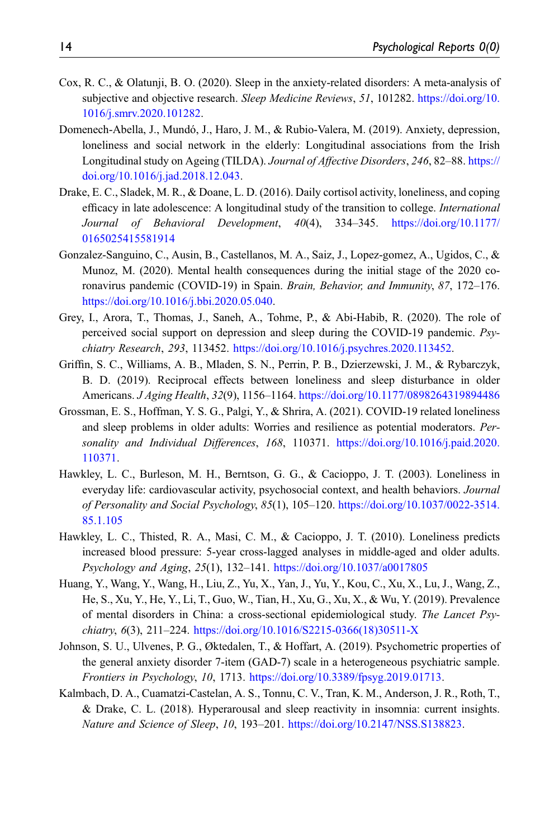- <span id="page-13-3"></span>Cox, R. C., & Olatunji, B. O. (2020). Sleep in the anxiety-related disorders: A meta-analysis of subjective and objective research. Sleep Medicine Reviews, 51, 101282. [https://doi.org/10.](https://doi.org/10.1016/j.smrv.2020.101282) [1016/j.smrv.2020.101282](https://doi.org/10.1016/j.smrv.2020.101282).
- <span id="page-13-4"></span>Domenech-Abella, J., Mundó, J., Haro, J. M., & Rubio-Valera, M. (2019). Anxiety, depression, loneliness and social network in the elderly: Longitudinal associations from the Irish Longitudinal study on Ageing (TILDA). Journal of Affective Disorders, 246, 82–88. [https://](https://doi.org/10.1016/j.jad.2018.12.043) [doi.org/10.1016/j.jad.2018.12.043.](https://doi.org/10.1016/j.jad.2018.12.043)
- Drake, E. C., Sladek, M. R., & Doane, L. D. (2016). Daily cortisol activity, loneliness, and coping efficacy in late adolescence: A longitudinal study of the transition to college. *International* Journal of Behavioral Development, 40(4), 334–345. [https://doi.org/10.1177/](https://doi.org/10.1177/0165025415581914) [0165025415581914](https://doi.org/10.1177/0165025415581914)
- <span id="page-13-1"></span>Gonzalez-Sanguino, C., Ausin, B., Castellanos, M. A., Saiz, J., Lopez-gomez, A., Ugidos, C., & Munoz, M. (2020). Mental health consequences during the initial stage of the 2020 coronavirus pandemic (COVID-19) in Spain. Brain, Behavior, and Immunity, 87, 172–176. [https://doi.org/10.1016/j.bbi.2020.05.040.](https://doi.org/10.1016/j.bbi.2020.05.040)
- <span id="page-13-2"></span>Grey, I., Arora, T., Thomas, J., Saneh, A., Tohme, P., & Abi-Habib, R. (2020). The role of perceived social support on depression and sleep during the COVID-19 pandemic. Psychiatry Research, 293, 113452. [https://doi.org/10.1016/j.psychres.2020.113452.](https://doi.org/10.1016/j.psychres.2020.113452)
- <span id="page-13-5"></span>Griffin, S. C., Williams, A. B., Mladen, S. N., Perrin, P. B., Dzierzewski, J. M., & Rybarczyk, B. D. (2019). Reciprocal effects between loneliness and sleep disturbance in older Americans. J Aging Health, 32(9), 1156–1164. <https://doi.org/10.1177/0898264319894486>
- <span id="page-13-6"></span>Grossman, E. S., Hoffman, Y. S. G., Palgi, Y., & Shrira, A. (2021). COVID-19 related loneliness and sleep problems in older adults: Worries and resilience as potential moderators. Personality and Individual Differences, 168, 110371. [https://doi.org/10.1016/j.paid.2020.](https://doi.org/10.1016/j.paid.2020.110371) [110371](https://doi.org/10.1016/j.paid.2020.110371).
- <span id="page-13-9"></span>Hawkley, L. C., Burleson, M. H., Berntson, G. G., & Cacioppo, J. T. (2003). Loneliness in everyday life: cardiovascular activity, psychosocial context, and health behaviors. Journal of Personality and Social Psychology, 85(1), 105–120. [https://doi.org/10.1037/0022-3514.](https://doi.org/10.1037/0022-3514.85.1.105) [85.1.105](https://doi.org/10.1037/0022-3514.85.1.105)
- <span id="page-13-8"></span>Hawkley, L. C., Thisted, R. A., Masi, C. M., & Cacioppo, J. T. (2010). Loneliness predicts increased blood pressure: 5-year cross-lagged analyses in middle-aged and older adults. Psychology and Aging, 25(1), 132–141. <https://doi.org/10.1037/a0017805>
- <span id="page-13-0"></span>Huang, Y., Wang, Y., Wang, H., Liu, Z., Yu, X., Yan, J., Yu, Y., Kou, C., Xu, X., Lu, J., Wang, Z., He, S., Xu, Y., He, Y., Li, T., Guo, W., Tian, H., Xu, G., Xu, X., & Wu, Y. (2019). Prevalence of mental disorders in China: a cross-sectional epidemiological study. The Lancet Psychiatry, 6(3), 211–224. [https://doi.org/10.1016/S2215-0366\(18\)30511-X](https://doi.org/10.1016/S2215-0366(18)30511-X)
- <span id="page-13-7"></span>Johnson, S. U., Ulvenes, P. G., Øktedalen, T., & Hoffart, A. (2019). Psychometric properties of the general anxiety disorder 7-item (GAD-7) scale in a heterogeneous psychiatric sample. Frontiers in Psychology, 10, 1713. <https://doi.org/10.3389/fpsyg.2019.01713>.
- <span id="page-13-10"></span>Kalmbach, D. A., Cuamatzi-Castelan, A. S., Tonnu, C. V., Tran, K. M., Anderson, J. R., Roth, T., & Drake, C. L. (2018). Hyperarousal and sleep reactivity in insomnia: current insights. Nature and Science of Sleep, 10, 193-201. <https://doi.org/10.2147/NSS.S138823>.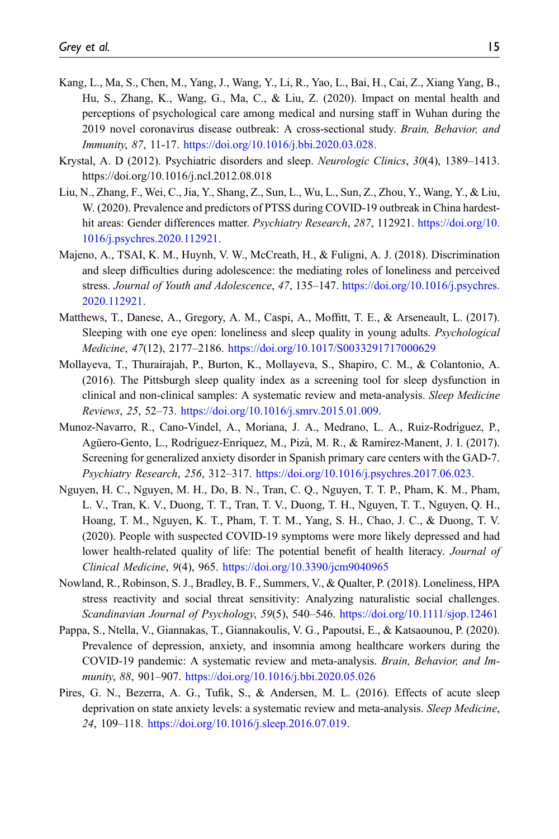- <span id="page-14-0"></span>Kang, L., Ma, S., Chen, M., Yang, J., Wang, Y., Li, R., Yao, L., Bai, H., Cai, Z., Xiang Yang, B., Hu, S., Zhang, K., Wang, G., Ma, C., & Liu, Z. (2020). Impact on mental health and perceptions of psychological care among medical and nursing staff in Wuhan during the 2019 novel coronavirus disease outbreak: A cross-sectional study. Brain, Behavior, and Immunity, 87, 11-17. [https://doi.org/10.1016/j.bbi.2020.03.028.](https://doi.org/10.1016/j.bbi.2020.03.028)
- <span id="page-14-7"></span>Krystal, A. D (2012). Psychiatric disorders and sleep. Neurologic Clinics, 30(4), 1389–1413. https://doi.org/10.1016/j.ncl.2012.08.018
- <span id="page-14-2"></span>Liu, N., Zhang, F., Wei, C., Jia, Y., Shang, Z., Sun, L., Wu, L., Sun, Z., Zhou, Y., Wang, Y., & Liu, W. (2020). Prevalence and predictors of PTSS during COVID-19 outbreak in China hardesthit areas: Gender differences matter. *Psychiatry Research*, 287, 112921. [https://doi.org/10.](https://doi.org/10.1016/j.psychres.2020.112921) [1016/j.psychres.2020.112921.](https://doi.org/10.1016/j.psychres.2020.112921)
- <span id="page-14-5"></span>Majeno, A., TSAI, K. M., Huynh, V. W., McCreath, H., & Fuligni, A. J. (2018). Discrimination and sleep difficulties during adolescence: the mediating roles of loneliness and perceived stress. Journal of Youth and Adolescence, 47, 135–147. [https://doi.org/10.1016/j.psychres.](https://doi.org/10.1016/j.psychres.2020.112921) [2020.112921](https://doi.org/10.1016/j.psychres.2020.112921).
- <span id="page-14-6"></span>Matthews, T., Danese, A., Gregory, A. M., Caspi, A., Moffitt, T. E., & Arseneault, L. (2017). Sleeping with one eye open: loneliness and sleep quality in young adults. *Psychological* Medicine, 47(12), 2177–2186. <https://doi.org/10.1017/S0033291717000629>
- <span id="page-14-8"></span>Mollayeva, T., Thurairajah, P., Burton, K., Mollayeva, S., Shapiro, C. M., & Colantonio, A. (2016). The Pittsburgh sleep quality index as a screening tool for sleep dysfunction in clinical and non-clinical samples: A systematic review and meta-analysis. Sleep Medicine Reviews, 25, 52–73. [https://doi.org/10.1016/j.smrv.2015.01.009.](https://doi.org/10.1016/j.smrv.2015.01.009)
- <span id="page-14-9"></span>Munoz-Navarro, R., Cano-Vindel, A., Moriana, J. A., Medrano, L. A., Ruiz-Rodríguez, P., Agüero-Gento, L., Rodríguez-Enríquez, M., Pizà, M. R., & Ramírez-Manent, J. I. (2017). Screening for generalized anxiety disorder in Spanish primary care centers with the GAD-7. Psychiatry Research, 256, 312–317. [https://doi.org/10.1016/j.psychres.2017.06.023.](https://doi.org/10.1016/j.psychres.2017.06.023)
- <span id="page-14-1"></span>Nguyen, H. C., Nguyen, M. H., Do, B. N., Tran, C. Q., Nguyen, T. T. P., Pham, K. M., Pham, L. V., Tran, K. V., Duong, T. T., Tran, T. V., Duong, T. H., Nguyen, T. T., Nguyen, Q. H., Hoang, T. M., Nguyen, K. T., Pham, T. T. M., Yang, S. H., Chao, J. C., & Duong, T. V. (2020). People with suspected COVID-19 symptoms were more likely depressed and had lower health-related quality of life: The potential benefit of health literacy. Journal of Clinical Medicine, 9(4), 965. <https://doi.org/10.3390/jcm9040965>
- <span id="page-14-10"></span>Nowland, R., Robinson, S. J., Bradley, B. F., Summers, V., & Qualter, P. (2018). Loneliness, HPA stress reactivity and social threat sensitivity: Analyzing naturalistic social challenges. Scandinavian Journal of Psychology, 59(5), 540–546. <https://doi.org/10.1111/sjop.12461>
- <span id="page-14-3"></span>Pappa, S., Ntella, V., Giannakas, T., Giannakoulis, V. G., Papoutsi, E., & Katsaounou, P. (2020). Prevalence of depression, anxiety, and insomnia among healthcare workers during the COVID-19 pandemic: A systematic review and meta-analysis. Brain, Behavior, and Immunity, 88, 901–907. <https://doi.org/10.1016/j.bbi.2020.05.026>
- <span id="page-14-4"></span>Pires, G. N., Bezerra, A. G., Tufik, S., & Andersen, M. L. (2016). Effects of acute sleep deprivation on state anxiety levels: a systematic review and meta-analysis. Sleep Medicine, 24, 109–118. [https://doi.org/10.1016/j.sleep.2016.07.019.](https://doi.org/10.1016/j.sleep.2016.07.019)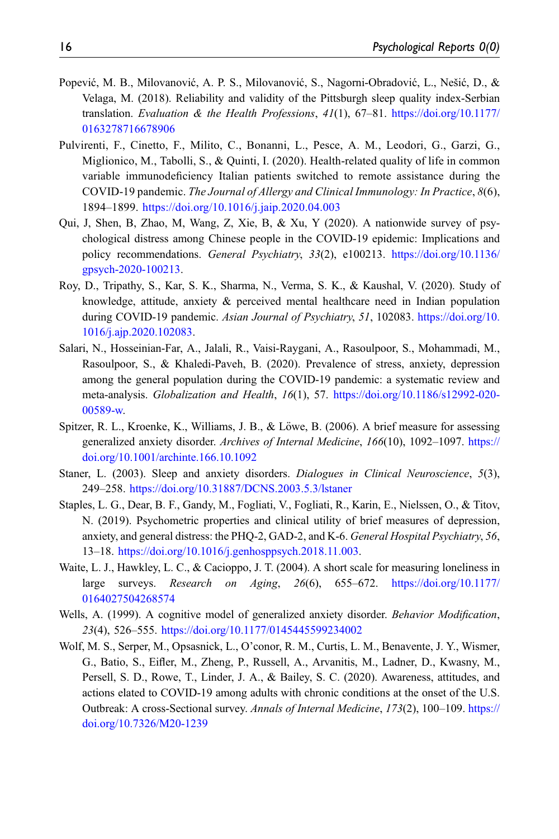- <span id="page-15-5"></span>Popević, M. B., Milovanović, A. P. S., Milovanović, S., Nagorni-Obradović, L., Nešić, D., & Velaga, M. (2018). Reliability and validity of the Pittsburgh sleep quality index-Serbian translation. Evaluation & the Health Professions,  $41(1)$ ,  $67-81$ . [https://doi.org/10.1177/](https://doi.org/10.1177/0163278716678906) [0163278716678906](https://doi.org/10.1177/0163278716678906)
- <span id="page-15-1"></span>Pulvirenti, F., Cinetto, F., Milito, C., Bonanni, L., Pesce, A. M., Leodori, G., Garzi, G., Miglionico, M., Tabolli, S., & Quinti, I. (2020). Health-related quality of life in common variable immunodeficiency Italian patients switched to remote assistance during the COVID-19 pandemic. The Journal of Allergy and Clinical Immunology: In Practice, 8(6), 1894–1899. <https://doi.org/10.1016/j.jaip.2020.04.003>
- <span id="page-15-10"></span>Qui, J, Shen, B, Zhao, M, Wang, Z, Xie, B, & Xu, Y (2020). A nationwide survey of psychological distress among Chinese people in the COVID-19 epidemic: Implications and policy recommendations. General Psychiatry, 33(2), e100213. [https://doi.org/10.1136/](https://doi.org/10.1136/gpsych-2020-100213) [gpsych-2020-100213](https://doi.org/10.1136/gpsych-2020-100213).
- <span id="page-15-2"></span>Roy, D., Tripathy, S., Kar, S. K., Sharma, N., Verma, S. K., & Kaushal, V. (2020). Study of knowledge, attitude, anxiety & perceived mental healthcare need in Indian population during COVID-19 pandemic. Asian Journal of Psychiatry, 51, 102083. [https://doi.org/10.](https://doi.org/10.1016/j.ajp.2020.102083) [1016/j.ajp.2020.102083.](https://doi.org/10.1016/j.ajp.2020.102083)
- <span id="page-15-0"></span>Salari, N., Hosseinian-Far, A., Jalali, R., Vaisi-Raygani, A., Rasoulpoor, S., Mohammadi, M., Rasoulpoor, S., & Khaledi-Paveh, B. (2020). Prevalence of stress, anxiety, depression among the general population during the COVID-19 pandemic: a systematic review and meta-analysis. Globalization and Health, 16(1), 57. [https://doi.org/10.1186/s12992-020-](https://doi.org/10.1186/s12992-020-00589-w) [00589-w.](https://doi.org/10.1186/s12992-020-00589-w)
- <span id="page-15-6"></span>Spitzer, R. L., Kroenke, K., Williams, J. B., & Löwe, B. (2006). A brief measure for assessing generalized anxiety disorder. Archives of Internal Medicine, 166(10), 1092-1097. [https://](https://doi.org/10.1001/archinte.166.10.1092) [doi.org/10.1001/archinte.166.10.1092](https://doi.org/10.1001/archinte.166.10.1092)
- <span id="page-15-4"></span>Staner, L. (2003). Sleep and anxiety disorders. Dialogues in Clinical Neuroscience, 5(3), 249–258. <https://doi.org/10.31887/DCNS.2003.5.3/lstaner>
- <span id="page-15-7"></span>Staples, L. G., Dear, B. F., Gandy, M., Fogliati, V., Fogliati, R., Karin, E., Nielssen, O., & Titov, N. (2019). Psychometric properties and clinical utility of brief measures of depression, anxiety, and general distress: the PHQ-2, GAD-2, and K-6. General Hospital Psychiatry, 56, 13–18. <https://doi.org/10.1016/j.genhosppsych.2018.11.003>.
- <span id="page-15-8"></span>Waite, L. J., Hawkley, L. C., & Cacioppo, J. T. (2004). A short scale for measuring loneliness in large surveys. Research on Aging, 26(6), 655–672. [https://doi.org/10.1177/](https://doi.org/10.1177/0164027504268574) [0164027504268574](https://doi.org/10.1177/0164027504268574)
- <span id="page-15-9"></span>Wells, A. (1999). A cognitive model of generalized anxiety disorder. Behavior Modification, 23(4), 526–555. <https://doi.org/10.1177/0145445599234002>
- <span id="page-15-3"></span>Wolf, M. S., Serper, M., Opsasnick, L., O'conor, R. M., Curtis, L. M., Benavente, J. Y., Wismer, G., Batio, S., Eifler, M., Zheng, P., Russell, A., Arvanitis, M., Ladner, D., Kwasny, M., Persell, S. D., Rowe, T., Linder, J. A., & Bailey, S. C. (2020). Awareness, attitudes, and actions elated to COVID-19 among adults with chronic conditions at the onset of the U.S. Outbreak: A cross-Sectional survey. Annals of Internal Medicine, 173(2), 100–109. [https://](https://doi.org/10.7326/M20-1239) [doi.org/10.7326/M20-1239](https://doi.org/10.7326/M20-1239)